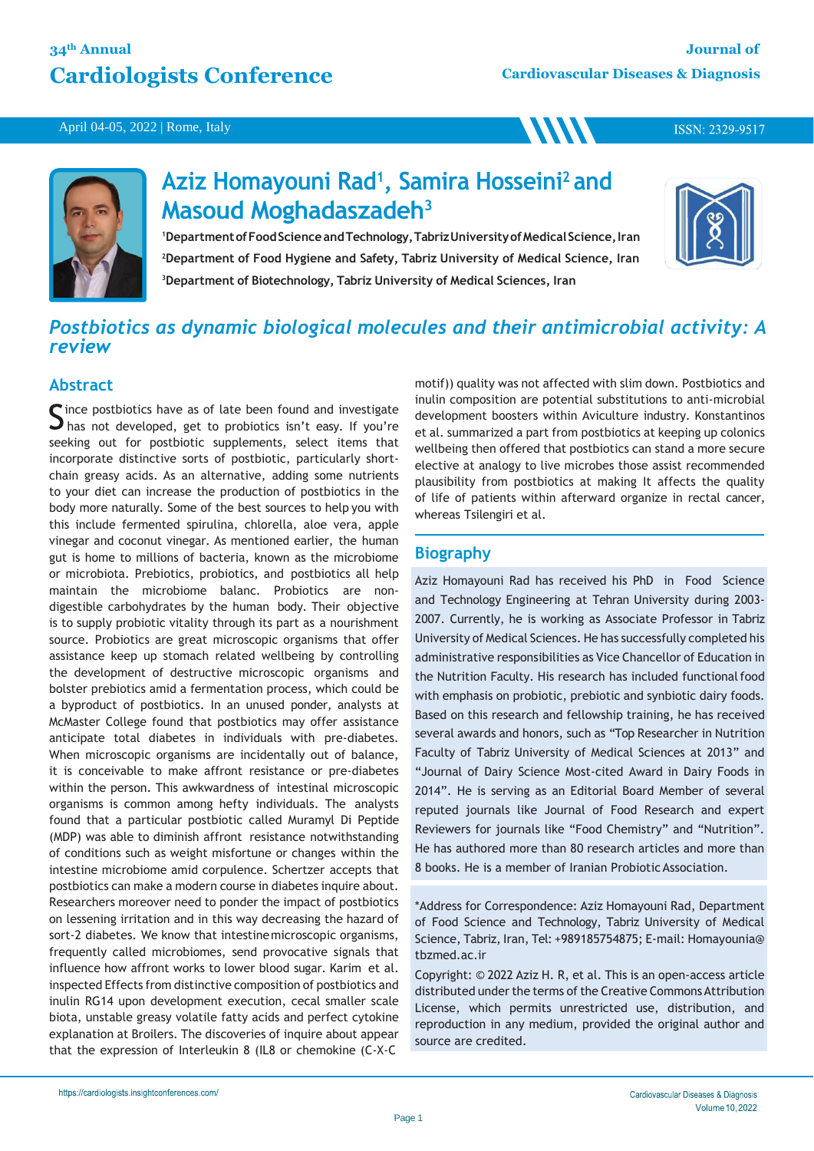# **34th Annual Cardiologists Conference**

**WW** 

April 04-05, 2022 | Rome, Italy



# **Aziz Homayouni Rad<sup>1</sup> , Samira Hosseini<sup>2</sup>and Masoud Moghadaszadeh<sup>3</sup>**

<sup>1</sup>Department of Food Science and Technology, Tabriz University of Medical Science, Iran **<sup>2</sup>Department of Food Hygiene and Safety, Tabriz University of Medical Science, Iran <sup>3</sup>Department of Biotechnology, Tabriz University of Medical Sciences, Iran**



ISSN: 2329-9517

# *Postbiotics as dynamic biological molecules and their antimicrobial activity: A review*

## **Abstract**

ince postbiotics have as of late been found and investigate  $\Box$  has not developed, get to probiotics isn't easy. If you're seeking out for postbiotic supplements, select items that incorporate distinctive sorts of postbiotic, particularly shortchain greasy acids. As an alternative, adding some nutrients to your diet can increase the production of postbiotics in the body more naturally. Some of the best sources to help you with this include fermented spirulina, chlorella, aloe vera, apple vinegar and coconut vinegar. As mentioned earlier, the human gut is home to millions of bacteria, known as the microbiome or microbiota. Prebiotics, probiotics, and postbiotics all help maintain the microbiome balanc. Probiotics are nondigestible carbohydrates by the human body. Their objective is to supply probiotic vitality through its part as a nourishment source. Probiotics are great microscopic organisms that offer assistance keep up stomach related wellbeing by controlling the development of destructive microscopic organisms and bolster prebiotics amid a fermentation process, which could be a byproduct of postbiotics. In an unused ponder, analysts at McMaster College found that postbiotics may offer assistance anticipate total diabetes in individuals with pre-diabetes. When microscopic organisms are incidentally out of balance, it is conceivable to make affront resistance or pre-diabetes within the person. This awkwardness of intestinal microscopic organisms is common among hefty individuals. The analysts found that a particular postbiotic called Muramyl Di Peptide (MDP) was able to diminish affront resistance notwithstanding of conditions such as weight misfortune or changes within the intestine microbiome amid corpulence. Schertzer accepts that postbiotics can make a modern course in diabetes inquire about. Researchers moreover need to ponder the impact of postbiotics on lessening irritation and in this way decreasing the hazard of sort-2 diabetes. We know that intestinemicroscopic organisms, frequently called microbiomes, send provocative signals that influence how affront works to lower blood sugar. Karim et al. inspected Effects from distinctive composition of postbiotics and inulin RG14 upon development execution, cecal smaller scale biota, unstable greasy volatile fatty acids and perfect cytokine explanation at Broilers. The discoveries of inquire about appear that the expression of Interleukin 8 (IL8 or chemokine (C-X-C

motif)) quality was not affected with slim down. Postbiotics and inulin composition are potential substitutions to anti-microbial development boosters within Aviculture industry. Konstantinos et al. summarized a part from postbiotics at keeping up colonics wellbeing then offered that postbiotics can stand a more secure elective at analogy to live microbes those assist recommended plausibility from postbiotics at making It affects the quality of life of patients within afterward organize in rectal cancer, whereas Tsilengiri et al.

## **Biography**

Aziz Homayouni Rad has received his PhD in Food Science and Technology Engineering at Tehran University during 2003- 2007. Currently, he is working as Associate Professor in Tabriz University of Medical Sciences. He has successfully completed his administrative responsibilities as Vice Chancellor of Education in the Nutrition Faculty. His research has included functional food with emphasis on probiotic, prebiotic and synbiotic dairy foods. Based on this research and fellowship training, he has received several awards and honors, such as "Top Researcher in Nutrition Faculty of Tabriz University of Medical Sciences at 2013" and "Journal of Dairy Science Most-cited Award in Dairy Foods in 2014". He is serving as an Editorial Board Member of several reputed journals like Journal of Food Research and expert Reviewers for journals like "Food Chemistry" and "Nutrition". He has authored more than 80 research articles and more than 8 books. He is a member of Iranian Probiotic Association.

\*Address for Correspondence: Aziz Homayouni Rad, Department of Food Science and Technology, Tabriz University of Medical Science, Tabriz, Iran, Tel: +989185754875; E-mail: Homayounia@ tbzmed.ac.ir

Copyright: © 2022 Aziz H. R, et al. This is an open-access article distributed under the terms of the Creative Commons Attribution License, which permits unrestricted use, distribution, and reproduction in any medium, provided the original author and source are credited.